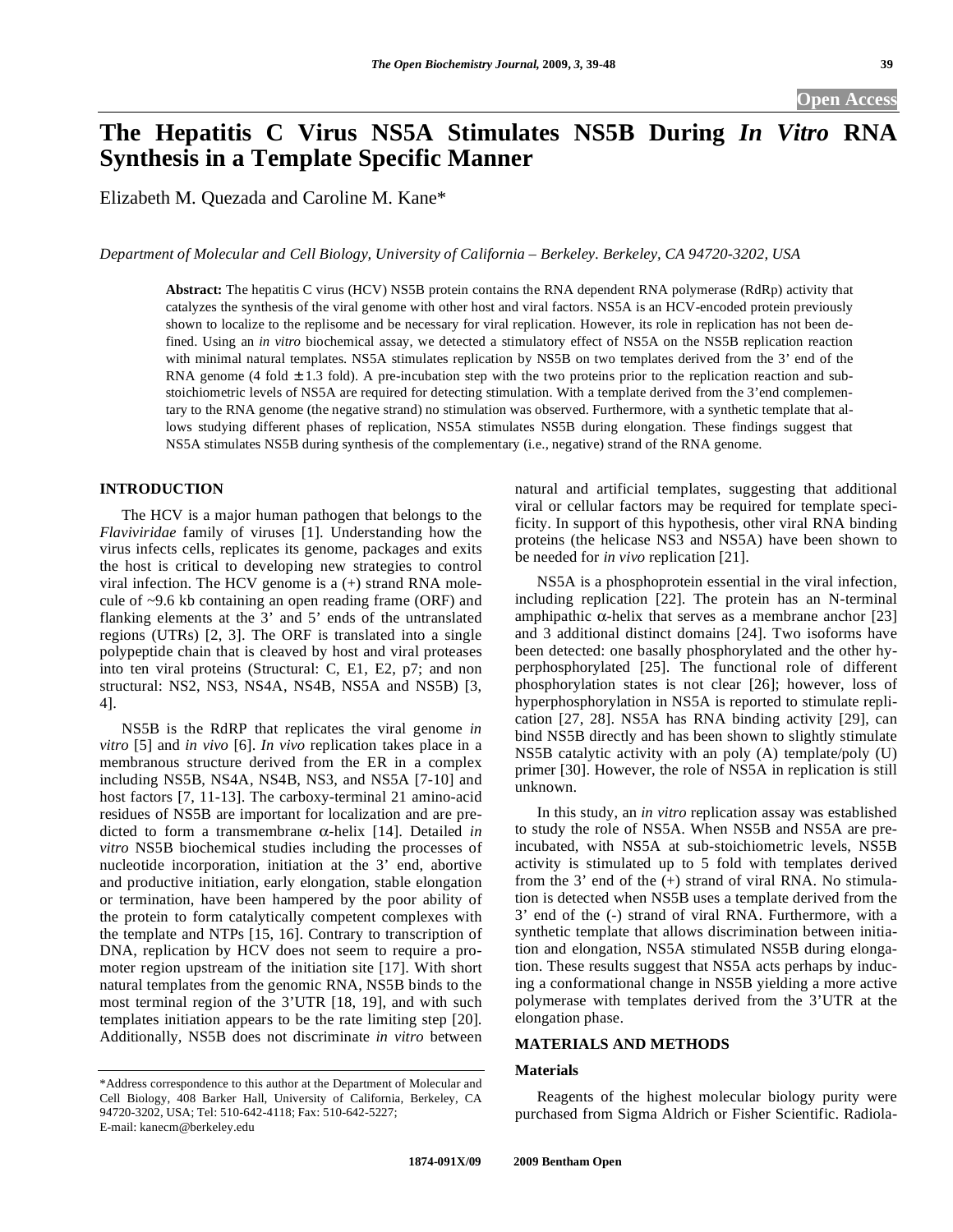# **The Hepatitis C Virus NS5A Stimulates NS5B During** *In Vitro* **RNA Synthesis in a Template Specific Manner**

Elizabeth M. Quezada and Caroline M. Kane\*

*Department of Molecular and Cell Biology, University of California – Berkeley. Berkeley, CA 94720-3202, USA* 

**Abstract:** The hepatitis C virus (HCV) NS5B protein contains the RNA dependent RNA polymerase (RdRp) activity that catalyzes the synthesis of the viral genome with other host and viral factors. NS5A is an HCV-encoded protein previously shown to localize to the replisome and be necessary for viral replication. However, its role in replication has not been defined. Using an *in vitro* biochemical assay, we detected a stimulatory effect of NS5A on the NS5B replication reaction with minimal natural templates. NS5A stimulates replication by NS5B on two templates derived from the 3' end of the RNA genome (4 fold  $\pm$  1.3 fold). A pre-incubation step with the two proteins prior to the replication reaction and substoichiometric levels of NS5A are required for detecting stimulation. With a template derived from the 3'end complementary to the RNA genome (the negative strand) no stimulation was observed. Furthermore, with a synthetic template that allows studying different phases of replication, NS5A stimulates NS5B during elongation. These findings suggest that NS5A stimulates NS5B during synthesis of the complementary (i.e., negative) strand of the RNA genome.

# **INTRODUCTION**

 The HCV is a major human pathogen that belongs to the *Flaviviridae* family of viruses [1]. Understanding how the virus infects cells, replicates its genome, packages and exits the host is critical to developing new strategies to control viral infection. The HCV genome is a (+) strand RNA molecule of ~9.6 kb containing an open reading frame (ORF) and flanking elements at the 3' and 5' ends of the untranslated regions (UTRs) [2, 3]. The ORF is translated into a single polypeptide chain that is cleaved by host and viral proteases into ten viral proteins (Structural: C, E1, E2, p7; and non structural: NS2, NS3, NS4A, NS4B, NS5A and NS5B) [3, 4].

 NS5B is the RdRP that replicates the viral genome *in vitro* [5] and *in vivo* [6]. *In vivo* replication takes place in a membranous structure derived from the ER in a complex including NS5B, NS4A, NS4B, NS3, and NS5A [7-10] and host factors [7, 11-13]. The carboxy-terminal 21 amino-acid residues of NS5B are important for localization and are predicted to form a transmembrane  $\alpha$ -helix [14]. Detailed *in vitro* NS5B biochemical studies including the processes of nucleotide incorporation, initiation at the 3' end, abortive and productive initiation, early elongation, stable elongation or termination, have been hampered by the poor ability of the protein to form catalytically competent complexes with the template and NTPs [15, 16]. Contrary to transcription of DNA, replication by HCV does not seem to require a promoter region upstream of the initiation site [17]. With short natural templates from the genomic RNA, NS5B binds to the most terminal region of the 3'UTR [18, 19], and with such templates initiation appears to be the rate limiting step [20]. Additionally, NS5B does not discriminate *in vitro* between

natural and artificial templates, suggesting that additional viral or cellular factors may be required for template specificity. In support of this hypothesis, other viral RNA binding proteins (the helicase NS3 and NS5A) have been shown to be needed for *in vivo* replication [21].

 NS5A is a phosphoprotein essential in the viral infection, including replication [22]. The protein has an N-terminal amphipathic  $\alpha$ -helix that serves as a membrane anchor [23] and 3 additional distinct domains [24]. Two isoforms have been detected: one basally phosphorylated and the other hyperphosphorylated [25]. The functional role of different phosphorylation states is not clear [26]; however, loss of hyperphosphorylation in NS5A is reported to stimulate replication [27, 28]. NS5A has RNA binding activity [29], can bind NS5B directly and has been shown to slightly stimulate NS5B catalytic activity with an poly (A) template/poly (U) primer [30]. However, the role of NS5A in replication is still unknown.

 In this study, an *in vitro* replication assay was established to study the role of NS5A. When NS5B and NS5A are preincubated, with NS5A at sub-stoichiometric levels, NS5B activity is stimulated up to 5 fold with templates derived from the 3' end of the (+) strand of viral RNA. No stimulation is detected when NS5B uses a template derived from the 3' end of the (-) strand of viral RNA. Furthermore, with a synthetic template that allows discrimination between initiation and elongation, NS5A stimulated NS5B during elongation. These results suggest that NS5A acts perhaps by inducing a conformational change in NS5B yielding a more active polymerase with templates derived from the 3'UTR at the elongation phase.

# **MATERIALS AND METHODS**

#### **Materials**

 Reagents of the highest molecular biology purity were purchased from Sigma Aldrich or Fisher Scientific. Radiola-

<sup>\*</sup>Address correspondence to this author at the Department of Molecular and Cell Biology, 408 Barker Hall, University of California, Berkeley, CA 94720-3202, USA; Tel: 510-642-4118; Fax: 510-642-5227; E-mail: kanecm@berkeley.edu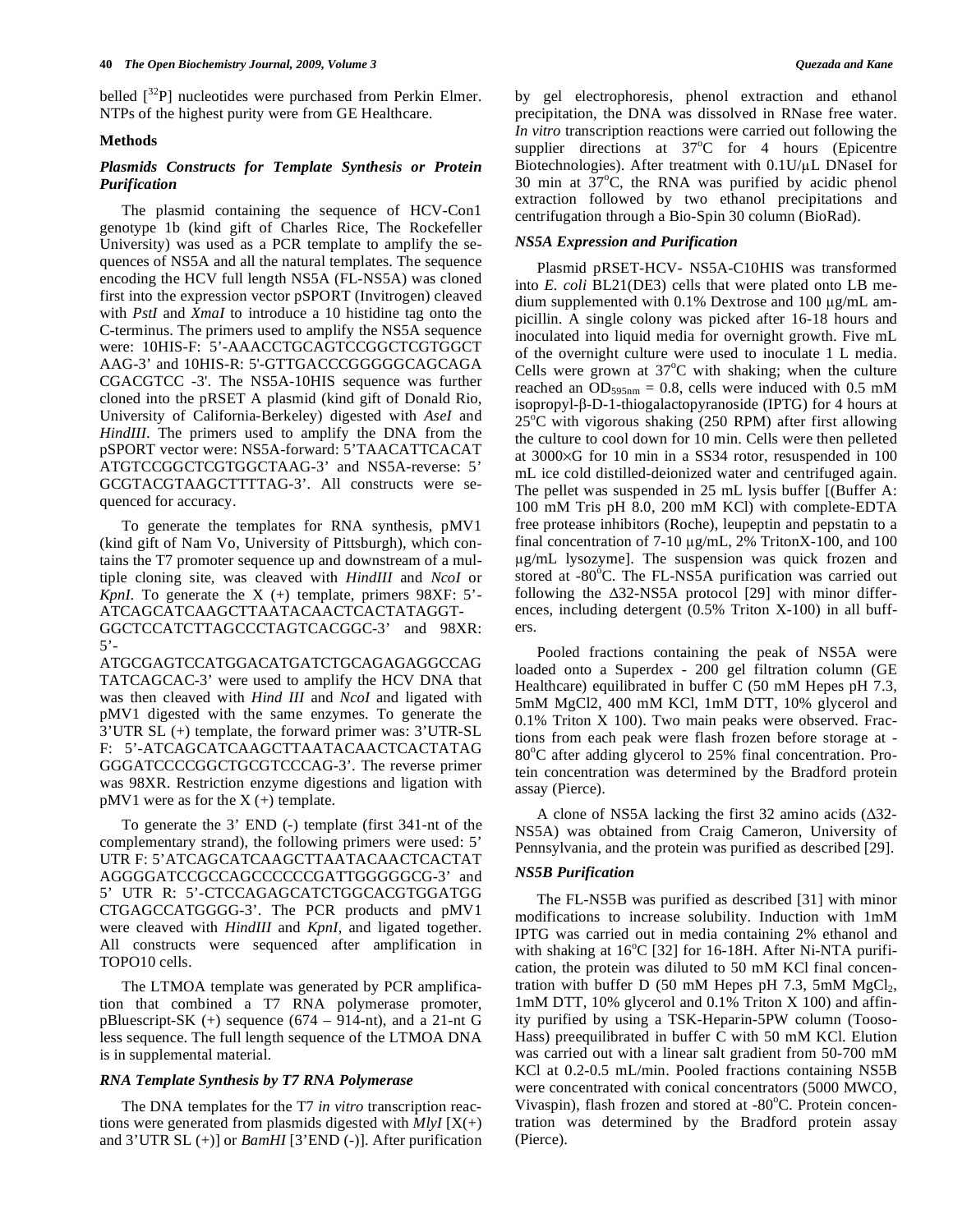belled  $\int^{32}P$ ] nucleotides were purchased from Perkin Elmer. NTPs of the highest purity were from GE Healthcare.

#### **Methods**

# *Plasmids Constructs for Template Synthesis or Protein Purification*

 The plasmid containing the sequence of HCV-Con1 genotype 1b (kind gift of Charles Rice, The Rockefeller University) was used as a PCR template to amplify the sequences of NS5A and all the natural templates. The sequence encoding the HCV full length NS5A (FL-NS5A) was cloned first into the expression vector pSPORT (Invitrogen) cleaved with *PstI* and *XmaI* to introduce a 10 histidine tag onto the C-terminus. The primers used to amplify the NS5A sequence were: 10HIS-F: 5'-AAACCTGCAGTCCGGCTCGTGGCT AAG-3' and 10HIS-R: 5'-GTTGACCCGGGGGCAGCAGA CGACGTCC -3'. The NS5A-10HIS sequence was further cloned into the pRSET A plasmid (kind gift of Donald Rio, University of California-Berkeley) digested with *AseI* and *HindIII*. The primers used to amplify the DNA from the pSPORT vector were: NS5A-forward: 5'TAACATTCACAT ATGTCCGGCTCGTGGCTAAG-3' and NS5A-reverse: 5' GCGTACGTAAGCTTTTAG-3'. All constructs were sequenced for accuracy.

 To generate the templates for RNA synthesis, pMV1 (kind gift of Nam Vo, University of Pittsburgh), which contains the T7 promoter sequence up and downstream of a multiple cloning site, was cleaved with *HindIII* and *NcoI* or *KpnI.* To generate the  $X$  (+) template, primers  $98XF: 5'$ ATCAGCATCAAGCTTAATACAACTCACTATAGGT-GGCTCCATCTTAGCCCTAGTCACGGC-3' and 98XR:  $5'$ -

ATGCGAGTCCATGGACATGATCTGCAGAGAGGCCAG TATCAGCAC-3' were used to amplify the HCV DNA that was then cleaved with *Hind III* and *NcoI* and ligated with pMV1 digested with the same enzymes. To generate the 3'UTR SL (+) template, the forward primer was: 3'UTR-SL F: 5'-ATCAGCATCAAGCTTAATACAACTCACTATAG GGGATCCCCGGCTGCGTCCCAG-3'. The reverse primer was 98XR. Restriction enzyme digestions and ligation with  $pMV1$  were as for the  $X$  (+) template.

 To generate the 3' END (-) template (first 341-nt of the complementary strand), the following primers were used: 5' UTR F: 5'ATCAGCATCAAGCTTAATACAACTCACTAT AGGGGATCCGCCAGCCCCCCGATTGGGGGCG-3' and 5' UTR R: 5'-CTCCAGAGCATCTGGCACGTGGATGG CTGAGCCATGGGG-3'. The PCR products and pMV1 were cleaved with *HindIII* and *KpnI*, and ligated together. All constructs were sequenced after amplification in TOPO10 cells.

 The LTMOA template was generated by PCR amplification that combined a T7 RNA polymerase promoter, pBluescript-SK  $(+)$  sequence  $(674 - 914$ -nt), and a 21-nt G less sequence. The full length sequence of the LTMOA DNA is in supplemental material.

#### *RNA Template Synthesis by T7 RNA Polymerase*

 The DNA templates for the T7 *in vitro* transcription reactions were generated from plasmids digested with  $MlyI[X(+)]$ and 3'UTR SL (+)] or *BamHI* [3'END (-)]. After purification by gel electrophoresis, phenol extraction and ethanol precipitation, the DNA was dissolved in RNase free water. *In vitro* transcription reactions were carried out following the supplier directions at  $37^{\circ}$ C for 4 hours (Epicentre Biotechnologies). After treatment with  $0.1U/\mu L$  DNaseI for 30 min at  $37^{\circ}$ C, the RNA was purified by acidic phenol extraction followed by two ethanol precipitations and centrifugation through a Bio-Spin 30 column (BioRad).

## *NS5A Expression and Purification*

 Plasmid pRSET-HCV- NS5A-C10HIS was transformed into *E. coli* BL21(DE3) cells that were plated onto LB medium supplemented with  $0.1\%$  Dextrose and  $100 \mu g/mL$  ampicillin. A single colony was picked after 16-18 hours and inoculated into liquid media for overnight growth. Five mL of the overnight culture were used to inoculate 1 L media. Cells were grown at  $37^{\circ}$ C with shaking; when the culture reached an  $OD_{595nm} = 0.8$ , cells were induced with 0.5 mM isopropyl- $\beta$ -D-1-thiogalactopyranoside (IPTG) for 4 hours at  $25^{\circ}$ C with vigorous shaking (250 RPM) after first allowing the culture to cool down for 10 min. Cells were then pelleted at 3000×G for 10 min in a SS34 rotor, resuspended in 100 mL ice cold distilled-deionized water and centrifuged again. The pellet was suspended in 25 mL lysis buffer [(Buffer A: 100 mM Tris pH 8.0, 200 mM KCl) with complete-EDTA free protease inhibitors (Roche), leupeptin and pepstatin to a final concentration of  $7-10 \mu g/mL$ , 2% TritonX-100, and 100 g/mL lysozyme]. The suspension was quick frozen and stored at -80°C. The FL-NS5A purification was carried out following the  $\Delta$ 32-NS5A protocol [29] with minor differences, including detergent (0.5% Triton X-100) in all buffers.

 Pooled fractions containing the peak of NS5A were loaded onto a Superdex - 200 gel filtration column (GE Healthcare) equilibrated in buffer C (50 mM Hepes pH 7.3, 5mM MgCl2, 400 mM KCl, 1mM DTT, 10% glycerol and 0.1% Triton X 100). Two main peaks were observed. Fractions from each peak were flash frozen before storage at - 80°C after adding glycerol to 25% final concentration. Protein concentration was determined by the Bradford protein assay (Pierce).

A clone of NS5A lacking the first 32 amino acids  $(\Delta 32 -$ NS5A) was obtained from Craig Cameron, University of Pennsylvania, and the protein was purified as described [29].

## *NS5B Purification*

 The FL-NS5B was purified as described [31] with minor modifications to increase solubility. Induction with 1mM IPTG was carried out in media containing 2% ethanol and with shaking at 16°C [32] for 16-18H. After Ni-NTA purification, the protein was diluted to 50 mM KCl final concentration with buffer D (50 mM Hepes pH 7.3, 5mM  $MgCl<sub>2</sub>$ , 1mM DTT, 10% glycerol and 0.1% Triton X 100) and affinity purified by using a TSK-Heparin-5PW column (Tooso-Hass) preequilibrated in buffer C with 50 mM KCl. Elution was carried out with a linear salt gradient from 50-700 mM KCl at 0.2-0.5 mL/min. Pooled fractions containing NS5B were concentrated with conical concentrators (5000 MWCO, Vivaspin), flash frozen and stored at -80°C. Protein concentration was determined by the Bradford protein assay (Pierce).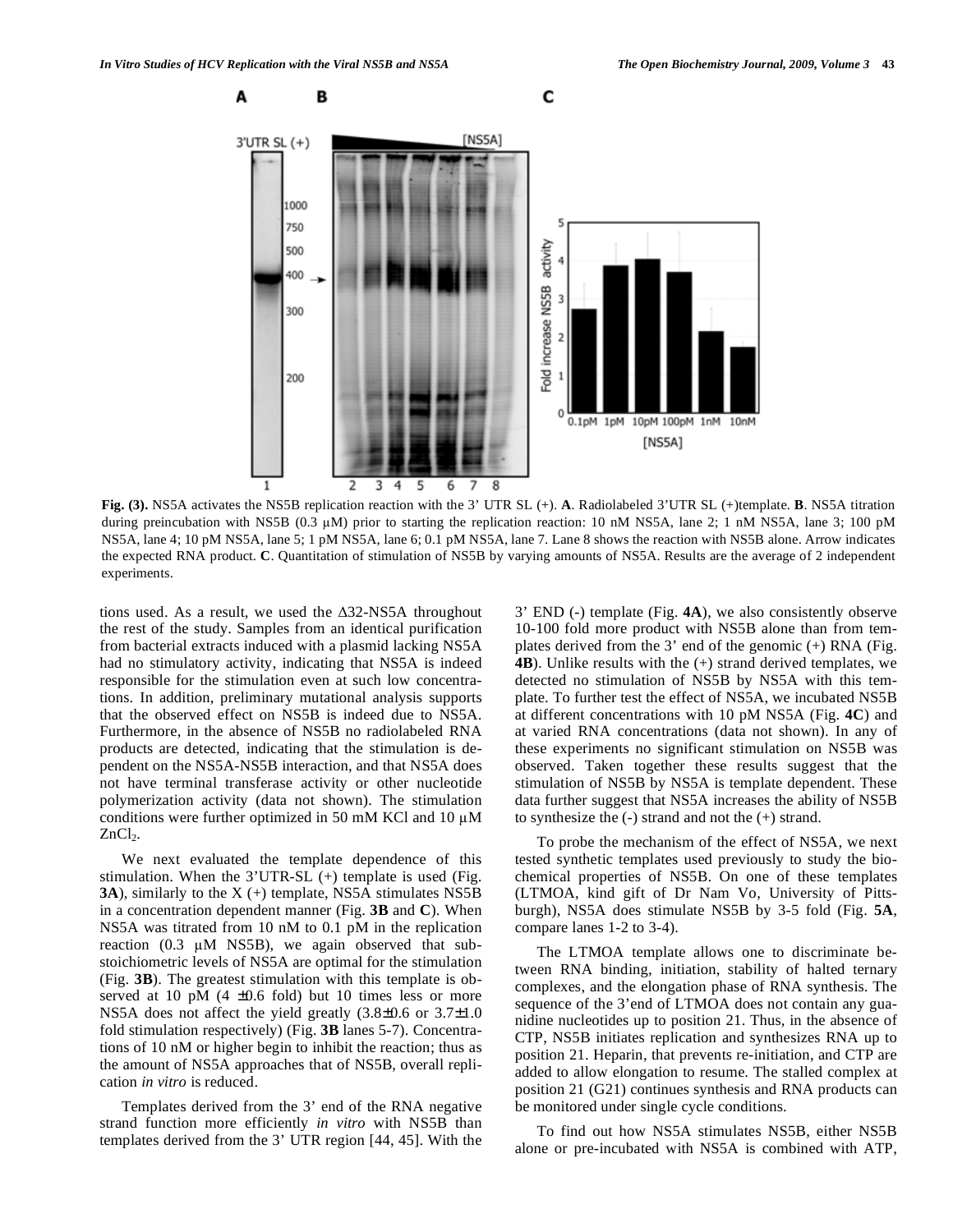

**Fig. (3).** NS5A activates the NS5B replication reaction with the 3' UTR SL (+). **A**. Radiolabeled 3'UTR SL (+)template. **B**. NS5A titration during preincubation with NS5B (0.3 µM) prior to starting the replication reaction: 10 nM NS5A, lane 2; 1 nM NS5A, lane 3; 100 pM NS5A, lane 4; 10 pM NS5A, lane 5; 1 pM NS5A, lane 6; 0.1 pM NS5A, lane 7. Lane 8 shows the reaction with NS5B alone. Arrow indicates the expected RNA product. **C**. Quantitation of stimulation of NS5B by varying amounts of NS5A. Results are the average of 2 independent experiments.

tions used. As a result, we used the  $\Delta$ 32-NS5A throughout the rest of the study. Samples from an identical purification from bacterial extracts induced with a plasmid lacking NS5A had no stimulatory activity, indicating that NS5A is indeed responsible for the stimulation even at such low concentrations. In addition, preliminary mutational analysis supports that the observed effect on NS5B is indeed due to NS5A. Furthermore, in the absence of NS5B no radiolabeled RNA products are detected, indicating that the stimulation is dependent on the NS5A-NS5B interaction, and that NS5A does not have terminal transferase activity or other nucleotide polymerization activity (data not shown). The stimulation conditions were further optimized in 50 mM KCl and 10  $\mu$ M  $ZnCl<sub>2</sub>$ .

 We next evaluated the template dependence of this stimulation. When the 3'UTR-SL (+) template is used (Fig. **3A**), similarly to the X (+) template, NS5A stimulates NS5B in a concentration dependent manner (Fig. **3B** and **C**). When NS5A was titrated from 10 nM to 0.1 pM in the replication reaction  $(0.3 \mu M$  NS5B), we again observed that substoichiometric levels of NS5A are optimal for the stimulation (Fig. **3B**). The greatest stimulation with this template is observed at 10 pM  $(4 \pm 0.6 \text{ fold})$  but 10 times less or more NS5A does not affect the yield greatly (3.8±0.6 or 3.7±1.0 fold stimulation respectively) (Fig. **3B** lanes 5-7). Concentrations of 10 nM or higher begin to inhibit the reaction; thus as the amount of NS5A approaches that of NS5B, overall replication *in vitro* is reduced.

 Templates derived from the 3' end of the RNA negative strand function more efficiently *in vitro* with NS5B than templates derived from the 3' UTR region [44, 45]. With the

3' END (-) template (Fig. **4A**), we also consistently observe 10-100 fold more product with NS5B alone than from templates derived from the  $3'$  end of the genomic  $(+)$  RNA (Fig. **4B**). Unlike results with the  $(+)$  strand derived templates, we detected no stimulation of NS5B by NS5A with this template. To further test the effect of NS5A, we incubated NS5B at different concentrations with 10 pM NS5A (Fig. **4C**) and at varied RNA concentrations (data not shown). In any of these experiments no significant stimulation on NS5B was observed. Taken together these results suggest that the stimulation of NS5B by NS5A is template dependent. These data further suggest that NS5A increases the ability of NS5B to synthesize the (-) strand and not the (+) strand.

 To probe the mechanism of the effect of NS5A, we next tested synthetic templates used previously to study the biochemical properties of NS5B. On one of these templates (LTMOA, kind gift of Dr Nam Vo, University of Pittsburgh), NS5A does stimulate NS5B by 3-5 fold (Fig. **5A**, compare lanes 1-2 to 3-4).

 The LTMOA template allows one to discriminate between RNA binding, initiation, stability of halted ternary complexes, and the elongation phase of RNA synthesis. The sequence of the 3'end of LTMOA does not contain any guanidine nucleotides up to position 21. Thus, in the absence of CTP, NS5B initiates replication and synthesizes RNA up to position 21. Heparin, that prevents re-initiation, and CTP are added to allow elongation to resume. The stalled complex at position 21 (G21) continues synthesis and RNA products can be monitored under single cycle conditions.

 To find out how NS5A stimulates NS5B, either NS5B alone or pre-incubated with NS5A is combined with ATP,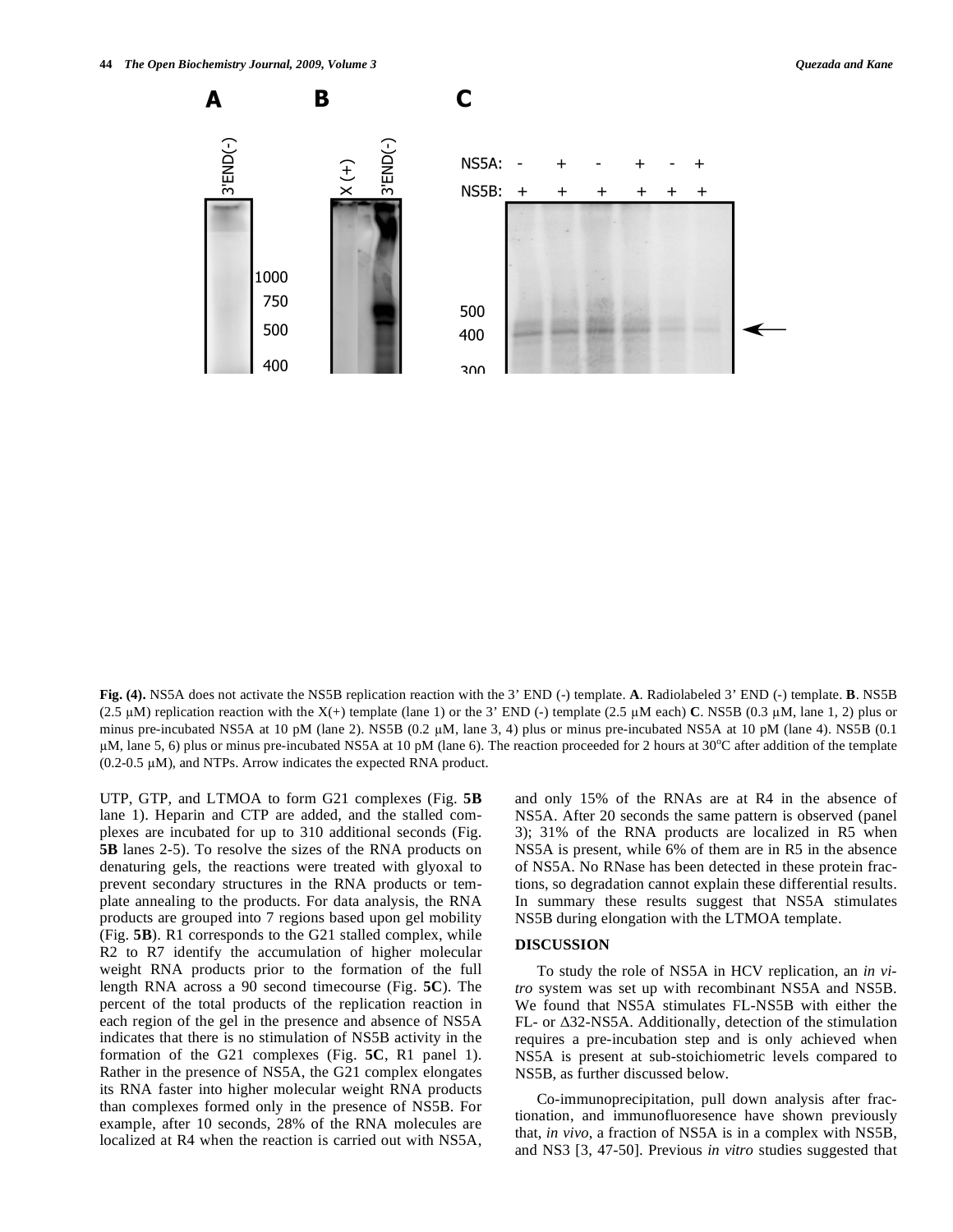**Fig. (4).** NS5A does not activate the NS5B replication reaction with the 3' END (-) template. **A**. Radiolabeled 3' END (-) template. **B**. NS5B (2.5  $\mu$ M) replication reaction with the X(+) template (lane 1) or the 3' END (-) template (2.5  $\mu$ M each) **C**. NS5B (0.3  $\mu$ M, lane 1, 2) plus or minus pre-incubated NS5A at 10 pM (lane 2). NS5B  $(0.2 \mu M)$ , lane 3, 4) plus or minus pre-incubated NS5A at 10 pM (lane 4). NS5B  $(0.1 \mu M)$  $\mu$ M, lane 5, 6) plus or minus pre-incubated NS5A at 10 pM (lane 6). The reaction proceeded for 2 hours at 30°C after addition of the template  $(0.2-0.5 \mu M)$ , and NTPs. Arrow indicates the expected RNA product.

UTP, GTP, and LTMOA to form G21 complexes (Fig. **5B** lane 1). Heparin and CTP are added, and the stalled complexes are incubated for up to 310 additional seconds (Fig. **5B** lanes 2-5). To resolve the sizes of the RNA products on denaturing gels, the reactions were treated with glyoxal to prevent secondary structures in the RNA products or template annealing to the products. For data analysis, the RNA products are grouped into 7 regions based upon gel mobility (Fig. **5B**). R1 corresponds to the G21 stalled complex, while R2 to R7 identify the accumulation of higher molecular weight RNA products prior to the formation of the full length RNA across a 90 second timecourse (Fig. **5C**). The percent of the total products of the replication reaction in each region of the gel in the presence and absence of NS5A indicates that there is no stimulation of NS5B activity in the formation of the G21 complexes (Fig. **5C**, R1 panel 1). Rather in the presence of NS5A, the G21 complex elongates its RNA faster into higher molecular weight RNA products than complexes formed only in the presence of NS5B. For example, after 10 seconds, 28% of the RNA molecules are localized at R4 when the reaction is carried out with NS5A, and only 15% of the RNAs are at R4 in the absence of NS5A. After 20 seconds the same pattern is observed (panel 3); 31% of the RNA products are localized in R5 when NS5A is present, while 6% of them are in R5 in the absence of NS5A. No RNase has been detected in these protein fractions, so degradation cannot explain these differential results. In summary these results suggest that NS5A stimulates NS5B during elongation with the LTMOA template.

#### **DISCUSSION**

 To study the role of NS5A in HCV replication, an *in vitro* system was set up with recombinant NS5A and NS5B. We found that NS5A stimulates FL-NS5B with either the FL- or  $\Delta$ 32-NS5A. Additionally, detection of the stimulation requires a pre-incubation step and is only achieved when NS5A is present at sub-stoichiometric levels compared to NS5B, as further discussed below.

 Co-immunoprecipitation, pull down analysis after fractionation, and immunofluoresence have shown previously that, *in vivo*, a fraction of NS5A is in a complex with NS5B, and NS3 [3, 47-50]. Previous *in vitro* studies suggested that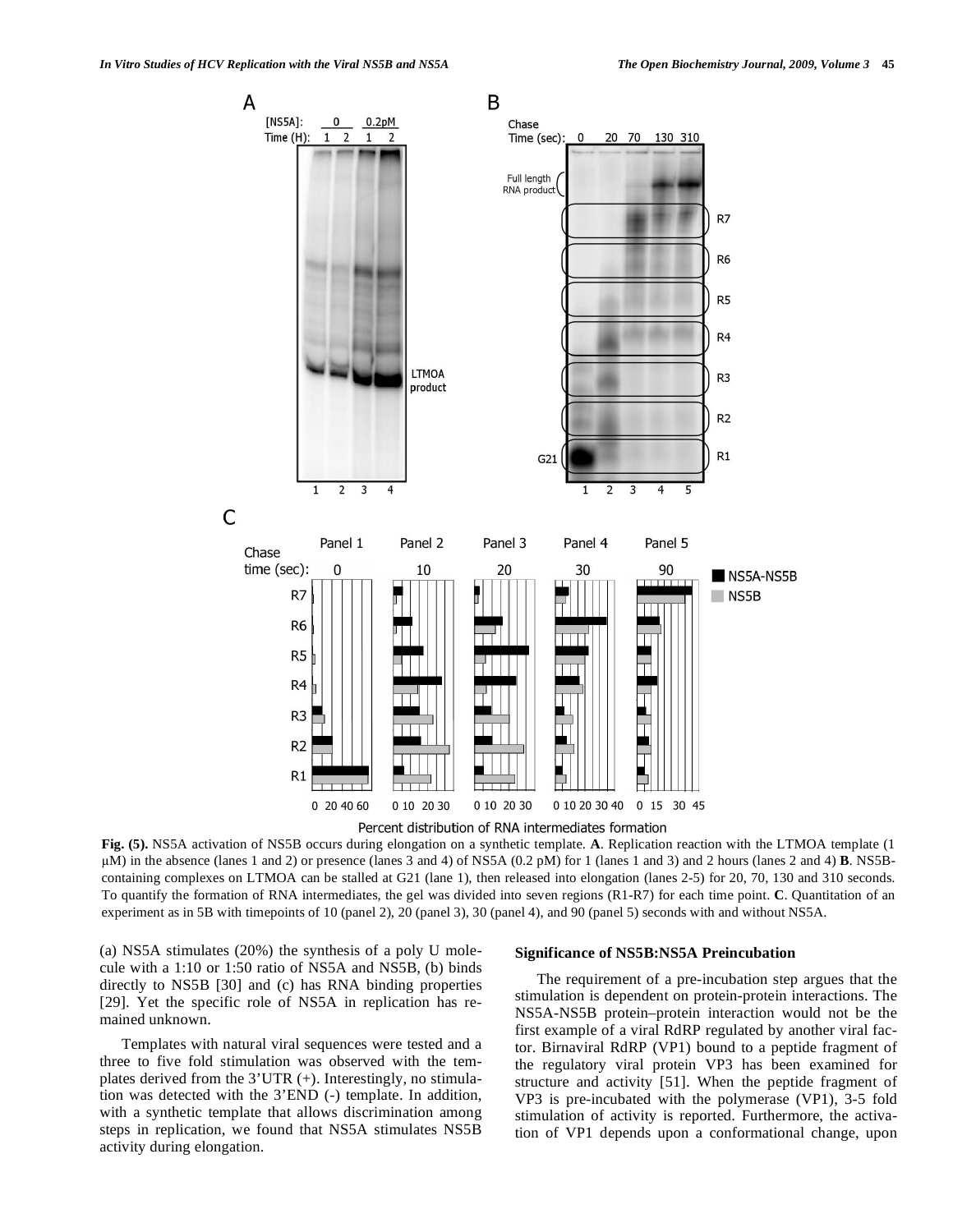

Percent distribution of RNA intermediates formation

**Fig. (5).** NS5A activation of NS5B occurs during elongation on a synthetic template. **A**. Replication reaction with the LTMOA template (1 M) in the absence (lanes 1 and 2) or presence (lanes 3 and 4) of NS5A (0.2 pM) for 1 (lanes 1 and 3) and 2 hours (lanes 2 and 4) **B**. NS5Bcontaining complexes on LTMOA can be stalled at G21 (lane 1), then released into elongation (lanes 2-5) for 20, 70, 130 and 310 seconds. To quantify the formation of RNA intermediates, the gel was divided into seven regions (R1-R7) for each time point. **C**. Quantitation of an experiment as in 5B with timepoints of 10 (panel 2), 20 (panel 3), 30 (panel 4), and 90 (panel 5) seconds with and without NS5A.

(a) NS5A stimulates (20%) the synthesis of a poly U molecule with a 1:10 or 1:50 ratio of NS5A and NS5B, (b) binds directly to NS5B [30] and (c) has RNA binding properties [29]. Yet the specific role of NS5A in replication has remained unknown.

 Templates with natural viral sequences were tested and a three to five fold stimulation was observed with the templates derived from the 3'UTR (+). Interestingly, no stimulation was detected with the 3'END (-) template. In addition, with a synthetic template that allows discrimination among steps in replication, we found that NS5A stimulates NS5B activity during elongation.

#### **Significance of NS5B:NS5A Preincubation**

 The requirement of a pre-incubation step argues that the stimulation is dependent on protein-protein interactions. The NS5A-NS5B protein–protein interaction would not be the first example of a viral RdRP regulated by another viral factor. Birnaviral RdRP (VP1) bound to a peptide fragment of the regulatory viral protein VP3 has been examined for structure and activity [51]. When the peptide fragment of VP3 is pre-incubated with the polymerase (VP1), 3-5 fold stimulation of activity is reported. Furthermore, the activation of VP1 depends upon a conformational change, upon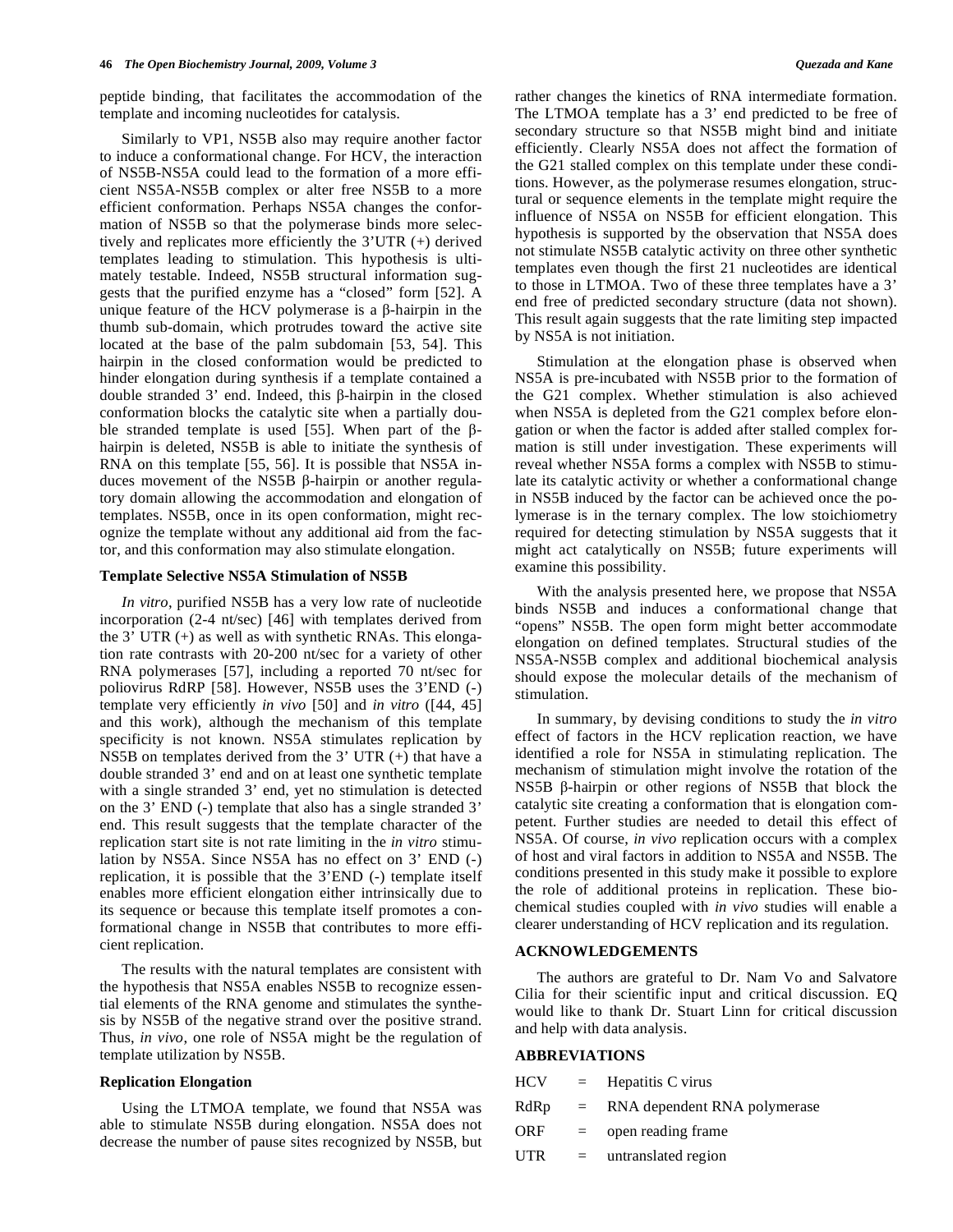peptide binding, that facilitates the accommodation of the template and incoming nucleotides for catalysis.

 Similarly to VP1, NS5B also may require another factor to induce a conformational change. For HCV, the interaction of NS5B-NS5A could lead to the formation of a more efficient NS5A-NS5B complex or alter free NS5B to a more efficient conformation. Perhaps NS5A changes the conformation of NS5B so that the polymerase binds more selectively and replicates more efficiently the 3'UTR (+) derived templates leading to stimulation. This hypothesis is ultimately testable. Indeed, NS5B structural information suggests that the purified enzyme has a "closed" form [52]. A unique feature of the HCV polymerase is a  $\beta$ -hairpin in the thumb sub-domain, which protrudes toward the active site located at the base of the palm subdomain [53, 54]. This hairpin in the closed conformation would be predicted to hinder elongation during synthesis if a template contained a double stranded  $3'$  end. Indeed, this  $\beta$ -hairpin in the closed conformation blocks the catalytic site when a partially double stranded template is used [55]. When part of the  $\beta$ hairpin is deleted, NS5B is able to initiate the synthesis of RNA on this template [55, 56]. It is possible that NS5A induces movement of the NS5B  $\beta$ -hairpin or another regulatory domain allowing the accommodation and elongation of templates. NS5B, once in its open conformation, might recognize the template without any additional aid from the factor, and this conformation may also stimulate elongation.

#### **Template Selective NS5A Stimulation of NS5B**

 *In vitro*, purified NS5B has a very low rate of nucleotide incorporation (2-4 nt/sec) [46] with templates derived from the 3' UTR (+) as well as with synthetic RNAs. This elongation rate contrasts with 20-200 nt/sec for a variety of other RNA polymerases [57], including a reported 70 nt/sec for poliovirus RdRP [58]. However, NS5B uses the 3'END (-) template very efficiently *in vivo* [50] and *in vitro* ([44, 45] and this work), although the mechanism of this template specificity is not known. NS5A stimulates replication by NS5B on templates derived from the 3' UTR (+) that have a double stranded 3' end and on at least one synthetic template with a single stranded 3' end, yet no stimulation is detected on the 3' END (-) template that also has a single stranded 3' end. This result suggests that the template character of the replication start site is not rate limiting in the *in vitro* stimulation by NS5A. Since NS5A has no effect on 3' END (-) replication, it is possible that the 3'END (-) template itself enables more efficient elongation either intrinsically due to its sequence or because this template itself promotes a conformational change in NS5B that contributes to more efficient replication.

 The results with the natural templates are consistent with the hypothesis that NS5A enables NS5B to recognize essential elements of the RNA genome and stimulates the synthesis by NS5B of the negative strand over the positive strand. Thus, *in vivo*, one role of NS5A might be the regulation of template utilization by NS5B.

#### **Replication Elongation**

 Using the LTMOA template, we found that NS5A was able to stimulate NS5B during elongation. NS5A does not decrease the number of pause sites recognized by NS5B, but

rather changes the kinetics of RNA intermediate formation. The LTMOA template has a 3' end predicted to be free of secondary structure so that NS5B might bind and initiate efficiently. Clearly NS5A does not affect the formation of the G21 stalled complex on this template under these conditions. However, as the polymerase resumes elongation, structural or sequence elements in the template might require the influence of NS5A on NS5B for efficient elongation. This hypothesis is supported by the observation that NS5A does not stimulate NS5B catalytic activity on three other synthetic templates even though the first 21 nucleotides are identical to those in LTMOA. Two of these three templates have a 3' end free of predicted secondary structure (data not shown). This result again suggests that the rate limiting step impacted by NS5A is not initiation.

 Stimulation at the elongation phase is observed when NS5A is pre-incubated with NS5B prior to the formation of the G21 complex. Whether stimulation is also achieved when NS5A is depleted from the G21 complex before elongation or when the factor is added after stalled complex formation is still under investigation. These experiments will reveal whether NS5A forms a complex with NS5B to stimulate its catalytic activity or whether a conformational change in NS5B induced by the factor can be achieved once the polymerase is in the ternary complex. The low stoichiometry required for detecting stimulation by NS5A suggests that it might act catalytically on NS5B; future experiments will examine this possibility.

 With the analysis presented here, we propose that NS5A binds NS5B and induces a conformational change that "opens" NS5B. The open form might better accommodate elongation on defined templates. Structural studies of the NS5A-NS5B complex and additional biochemical analysis should expose the molecular details of the mechanism of stimulation.

 In summary, by devising conditions to study the *in vitro* effect of factors in the HCV replication reaction, we have identified a role for NS5A in stimulating replication. The mechanism of stimulation might involve the rotation of the  $NSSB$   $\beta$ -hairpin or other regions of NS5B that block the catalytic site creating a conformation that is elongation competent. Further studies are needed to detail this effect of NS5A. Of course, *in vivo* replication occurs with a complex of host and viral factors in addition to NS5A and NS5B. The conditions presented in this study make it possible to explore the role of additional proteins in replication. These biochemical studies coupled with *in vivo* studies will enable a clearer understanding of HCV replication and its regulation.

#### **ACKNOWLEDGEMENTS**

 The authors are grateful to Dr. Nam Vo and Salvatore Cilia for their scientific input and critical discussion. EQ would like to thank Dr. Stuart Linn for critical discussion and help with data analysis.

#### **ABBREVIATIONS**

| HCV        |          | $=$ Hepatitis C virus        |
|------------|----------|------------------------------|
| RdRp       | $\equiv$ | RNA dependent RNA polymerase |
| ORF        | $\equiv$ | open reading frame           |
| <b>UTR</b> | $\equiv$ | untranslated region          |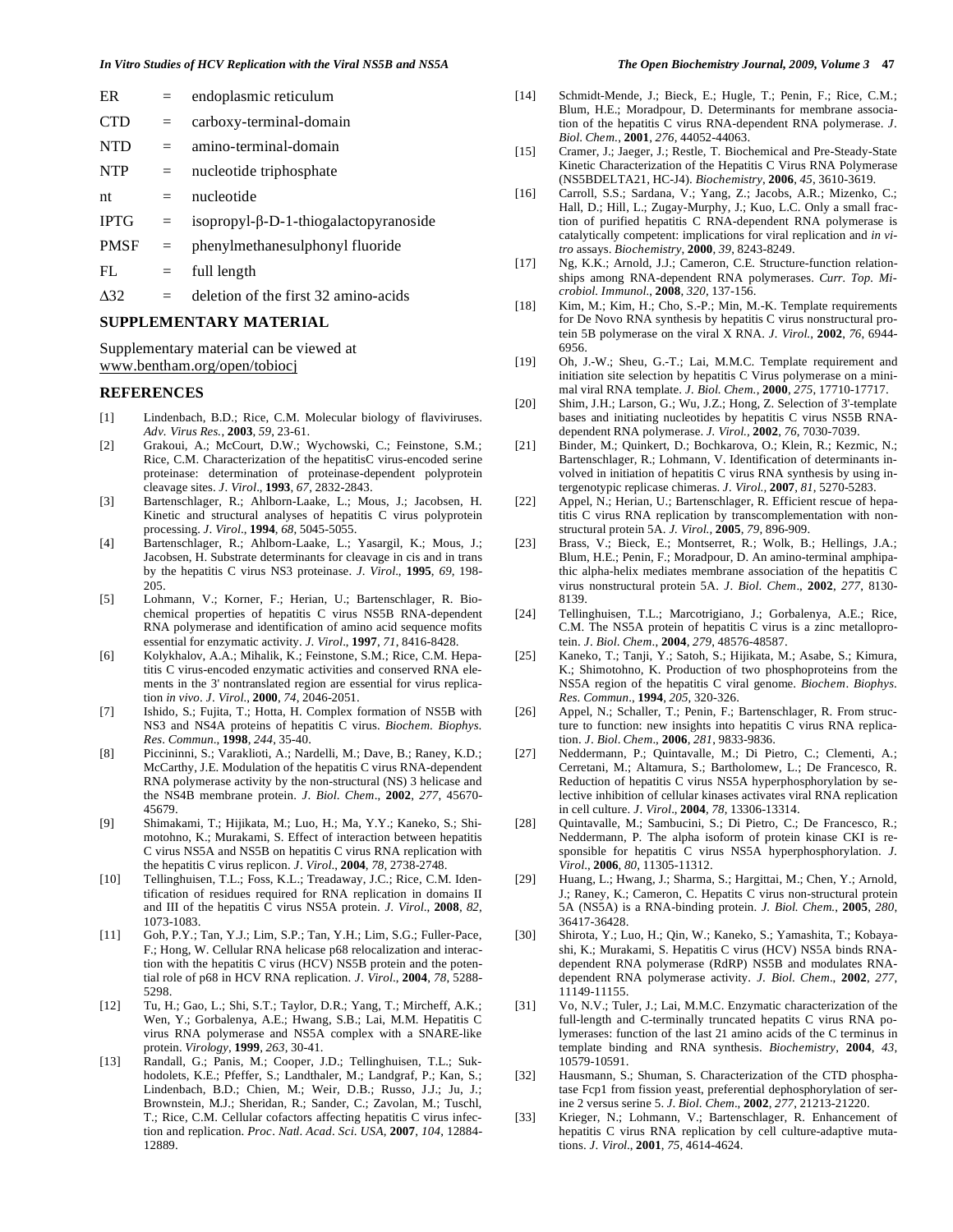| ER          |     | endoplasmic reticulum                         |
|-------------|-----|-----------------------------------------------|
| <b>CTD</b>  | $=$ | carboxy-terminal-domain                       |
| <b>NTD</b>  | $=$ | amino-terminal-domain                         |
| <b>NTP</b>  | $=$ | nucleotide triphosphate                       |
| nt          | $=$ | nucleotide                                    |
| <b>IPTG</b> | $=$ | isopropyl- $\beta$ -D-1-thiogalactopyranoside |
| <b>PMSF</b> | $=$ | phenylmethanesulphonyl fluoride               |
| FL.         | $=$ | full length                                   |

 $\Delta$ 32 = deletion of the first 32 amino-acids

### **SUPPLEMENTARY MATERIAL**

Supplementary material can be viewed at www.bentham.org/open/tobiocj

#### **REFERENCES**

- [1] Lindenbach, B.D.; Rice, C.M. Molecular biology of flaviviruses. *Adv. Virus Res.*, **2003**, *59*, 23-61.
- [2] Grakoui, A.; McCourt, D.W.; Wychowski, C.; Feinstone, S.M.; Rice, C.M. Characterization of the hepatitisC virus-encoded serine proteinase: determination of proteinase-dependent polyprotein cleavage sites. *J*. *Virol*., **1993**, *67*, 2832-2843.
- [3] Bartenschlager, R.; Ahlborn-Laake, L.; Mous, J.; Jacobsen, H. Kinetic and structural analyses of hepatitis C virus polyprotein processing. *J*. *Virol*., **1994**, *68*, 5045-5055.
- [4] Bartenschlager, R.; Ahlborn-Laake, L.; Yasargil, K.; Mous, J.; Jacobsen, H. Substrate determinants for cleavage in cis and in trans by the hepatitis C virus NS3 proteinase. *J*. *Virol*., **1995**, *69*, 198- 205.
- [5] Lohmann, V.; Korner, F.; Herian, U.; Bartenschlager, R. Biochemical properties of hepatitis C virus NS5B RNA-dependent RNA polymerase and identification of amino acid sequence mofits essential for enzymatic activity. *J*. *Virol*., **1997**, *71*, 8416-8428.
- [6] Kolykhalov, A.A.; Mihalik, K.; Feinstone, S.M.; Rice, C.M. Hepatitis C virus-encoded enzymatic activities and conserved RNA elements in the 3' nontranslated region are essential for virus replication *in vivo*. *J*. *Virol.*, **2000**, *74*, 2046-2051.
- [7] Ishido, S.; Fujita, T.; Hotta, H. Complex formation of NS5B with NS3 and NS4A proteins of hepatitis C virus. *Biochem*. *Biophys*. *Res*. *Commun*., **1998**, *244*, 35-40.
- [8] Piccininni, S.; Varaklioti, A.; Nardelli, M.; Dave, B.; Raney, K.D.; McCarthy, J.E. Modulation of the hepatitis C virus RNA-dependent RNA polymerase activity by the non-structural (NS) 3 helicase and the NS4B membrane protein. *J*. *Biol*. *Chem*., **2002**, *277*, 45670- 45679.
- [9] Shimakami, T.; Hijikata, M.; Luo, H.; Ma, Y.Y.; Kaneko, S.; Shimotohno, K.; Murakami, S. Effect of interaction between hepatitis C virus NS5A and NS5B on hepatitis C virus RNA replication with the hepatitis C virus replicon. *J*. *Virol*., **2004**, *78*, 2738-2748.
- [10] Tellinghuisen, T.L.; Foss, K.L.; Treadaway, J.C.; Rice, C.M. Identification of residues required for RNA replication in domains II and III of the hepatitis C virus NS5A protein. *J*. *Virol*., **2008**, *82*, 1073-1083.
- [11] Goh, P.Y.; Tan, Y.J.; Lim, S.P.; Tan, Y.H.; Lim, S.G.; Fuller-Pace, F.; Hong, W. Cellular RNA helicase p68 relocalization and interaction with the hepatitis C virus (HCV) NS5B protein and the potential role of p68 in HCV RNA replication. *J*. *Virol*., **2004**, *78*, 5288- 5298.
- [12] Tu, H.; Gao, L.; Shi, S.T.; Taylor, D.R.; Yang, T.; Mircheff, A.K.; Wen, Y.; Gorbalenya, A.E.; Hwang, S.B.; Lai, M.M. Hepatitis C virus RNA polymerase and NS5A complex with a SNARE-like protein. *Virology*, **1999**, *263*, 30-41.
- [13] Randall, G.; Panis, M.; Cooper, J.D.; Tellinghuisen, T.L.; Sukhodolets, K.E.; Pfeffer, S.; Landthaler, M.; Landgraf, P.; Kan, S.; Lindenbach, B.D.; Chien, M.; Weir, D.B.; Russo, J.J.; Ju, J.; Brownstein, M.J.; Sheridan, R.; Sander, C.; Zavolan, M.; Tuschl, T.; Rice, C.M. Cellular cofactors affecting hepatitis C virus infection and replication. *Proc*. *Natl*. *Acad*. *Sci*. *USA*, **2007**, *104*, 12884- 12889.
- [14] Schmidt-Mende, J.; Bieck, E.; Hugle, T.; Penin, F.; Rice, C.M.; Blum, H.E.; Moradpour, D. Determinants for membrane association of the hepatitis C virus RNA-dependent RNA polymerase. *J*. *Biol*. *Chem*., **2001**, *276*, 44052-44063.
- [15] Cramer, J.; Jaeger, J.; Restle, T. Biochemical and Pre-Steady-State Kinetic Characterization of the Hepatitis C Virus RNA Polymerase (NS5BDELTA21, HC-J4). *Biochemistry*, **2006**, *45*, 3610-3619.
- [16] Carroll, S.S.; Sardana, V.; Yang, Z.; Jacobs, A.R.; Mizenko, C.; Hall, D.; Hill, L.; Zugay-Murphy, J.; Kuo, L.C. Only a small fraction of purified hepatitis C RNA-dependent RNA polymerase is catalytically competent: implications for viral replication and *in vitro* assays. *Biochemistry*, **2000**, *39*, 8243-8249.
- [17] Ng, K.K.; Arnold, J.J.; Cameron, C.E. Structure-function relationships among RNA-dependent RNA polymerases. *Curr. Top. Microbiol. Immunol.*, **2008**, *320*, 137-156.
- [18] Kim, M.; Kim, H.; Cho, S.-P.; Min, M.-K. Template requirements for De Novo RNA synthesis by hepatitis C virus nonstructural protein 5B polymerase on the viral X RNA. *J. Virol.,* **2002**, *76*, 6944- 6956.
- [19] Oh, J.-W.; Sheu, G.-T.; Lai, M.M.C. Template requirement and initiation site selection by hepatitis C Virus polymerase on a minimal viral RNA template. *J. Biol. Chem.*, **2000**, *275*, 17710-17717.
- [20] Shim, J.H.; Larson, G.; Wu, J.Z.; Hong, Z. Selection of 3'-template bases and initiating nucleotides by hepatitis C virus NS5B RNAdependent RNA polymerase. *J. Virol.,* **2002**, *76*, 7030-7039.
- [21] Binder, M.; Quinkert, D.; Bochkarova, O.; Klein, R.; Kezmic, N.; Bartenschlager, R.; Lohmann, V. Identification of determinants involved in initiation of hepatitis C virus RNA synthesis by using intergenotypic replicase chimeras. *J. Virol.,* **2007**, *81*, 5270-5283.
- [22] Appel, N.; Herian, U.; Bartenschlager, R. Efficient rescue of hepatitis C virus RNA replication by transcomplementation with nonstructural protein 5A. *J. Virol.,* **2005**, *79*, 896-909.
- [23] Brass, V.; Bieck, E.; Montserret, R.; Wolk, B.; Hellings, J.A.; Blum, H.E.; Penin, F.; Moradpour, D. An amino-terminal amphipathic alpha-helix mediates membrane association of the hepatitis C virus nonstructural protein 5A. *J*. *Biol*. *Chem*., **2002**, *277*, 8130- 8139.
- [24] Tellinghuisen, T.L.; Marcotrigiano, J.; Gorbalenya, A.E.; Rice, C.M. The NS5A protein of hepatitis C virus is a zinc metalloprotein. *J*. *Biol*. *Chem*., **2004**, *279*, 48576-48587.
- [25] Kaneko, T.; Tanji, Y.; Satoh, S.; Hijikata, M.; Asabe, S.; Kimura, K.; Shimotohno, K. Production of two phosphoproteins from the NS5A region of the hepatitis C viral genome. *Biochem*. *Biophys*. *Res*. *Commun*., **1994**, *205*, 320-326.
- [26] Appel, N.; Schaller, T.; Penin, F.; Bartenschlager, R. From structure to function: new insights into hepatitis C virus RNA replication. *J*. *Biol*. *Chem*., **2006**, *281*, 9833-9836.
- [27] Neddermann, P.; Quintavalle, M.; Di Pietro, C.; Clementi, A.; Cerretani, M.; Altamura, S.; Bartholomew, L.; De Francesco, R. Reduction of hepatitis C virus NS5A hyperphosphorylation by selective inhibition of cellular kinases activates viral RNA replication in cell culture. *J*. *Virol*., **2004**, *78*, 13306-13314.
- [28] Quintavalle, M.; Sambucini, S.; Di Pietro, C.; De Francesco, R.; Neddermann, P. The alpha isoform of protein kinase CKI is responsible for hepatitis C virus NS5A hyperphosphorylation. *J*. *Virol*., **2006**, *80*, 11305-11312.
- [29] Huang, L.; Hwang, J.; Sharma, S.; Hargittai, M.; Chen, Y.; Arnold, J.; Raney, K.; Cameron, C. Hepatits C virus non-structural protein 5A (NS5A) is a RNA-binding protein. *J. Biol. Chem.*, **2005**, *280*, 36417-36428.
- [30] Shirota, Y.; Luo, H.; Qin, W.; Kaneko, S.; Yamashita, T.; Kobayashi, K.; Murakami, S. Hepatitis C virus (HCV) NS5A binds RNAdependent RNA polymerase (RdRP) NS5B and modulates RNAdependent RNA polymerase activity. *J*. *Biol*. *Chem*., **2002**, *277*, 11149-11155.
- [31] Vo, N.V.; Tuler, J.; Lai, M.M.C. Enzymatic characterization of the full-length and C-terminally truncated hepatits C virus RNA polymerases: function of the last 21 amino acids of the C terminus in template binding and RNA synthesis. *Biochemistry*, **2004**, *43*, 10579-10591.
- [32] Hausmann, S.; Shuman, S. Characterization of the CTD phosphatase Fcp1 from fission yeast, preferential dephosphorylation of serine 2 versus serine 5. *J*. *Biol*. *Chem*., **2002**, *277*, 21213-21220.
- [33] Krieger, N.; Lohmann, V.; Bartenschlager, R. Enhancement of hepatitis C virus RNA replication by cell culture-adaptive mutations. *J*. *Virol*., **2001**, *75*, 4614-4624.